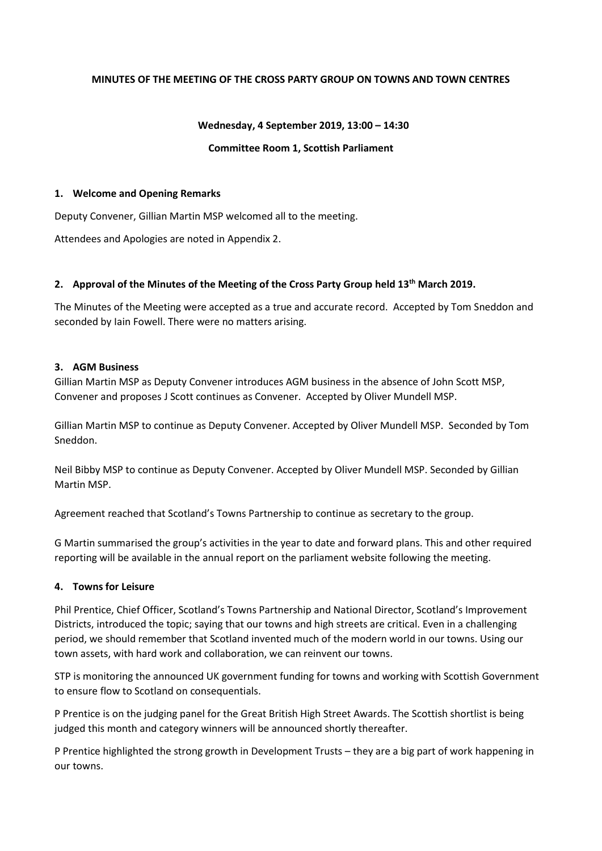### **MINUTES OF THE MEETING OF THE CROSS PARTY GROUP ON TOWNS AND TOWN CENTRES**

#### **Wednesday, 4 September 2019, 13:00 – 14:30**

#### **Committee Room 1, Scottish Parliament**

#### **1. Welcome and Opening Remarks**

Deputy Convener, Gillian Martin MSP welcomed all to the meeting.

Attendees and Apologies are noted in Appendix 2.

### **2. Approval of the Minutes of the Meeting of the Cross Party Group held 13th March 2019.**

The Minutes of the Meeting were accepted as a true and accurate record. Accepted by Tom Sneddon and seconded by Iain Fowell. There were no matters arising.

### **3. AGM Business**

Gillian Martin MSP as Deputy Convener introduces AGM business in the absence of John Scott MSP, Convener and proposes J Scott continues as Convener. Accepted by Oliver Mundell MSP.

Gillian Martin MSP to continue as Deputy Convener. Accepted by Oliver Mundell MSP. Seconded by Tom Sneddon.

Neil Bibby MSP to continue as Deputy Convener. Accepted by Oliver Mundell MSP. Seconded by Gillian Martin MSP.

Agreement reached that Scotland's Towns Partnership to continue as secretary to the group.

G Martin summarised the group's activities in the year to date and forward plans. This and other required reporting will be available in the annual report on the parliament website following the meeting.

### **4. Towns for Leisure**

Phil Prentice, Chief Officer, Scotland's Towns Partnership and National Director, Scotland's Improvement Districts, introduced the topic; saying that our towns and high streets are critical. Even in a challenging period, we should remember that Scotland invented much of the modern world in our towns. Using our town assets, with hard work and collaboration, we can reinvent our towns.

STP is monitoring the announced UK government funding for towns and working with Scottish Government to ensure flow to Scotland on consequentials.

P Prentice is on the judging panel for the Great British High Street Awards. The Scottish shortlist is being judged this month and category winners will be announced shortly thereafter.

P Prentice highlighted the strong growth in Development Trusts – they are a big part of work happening in our towns.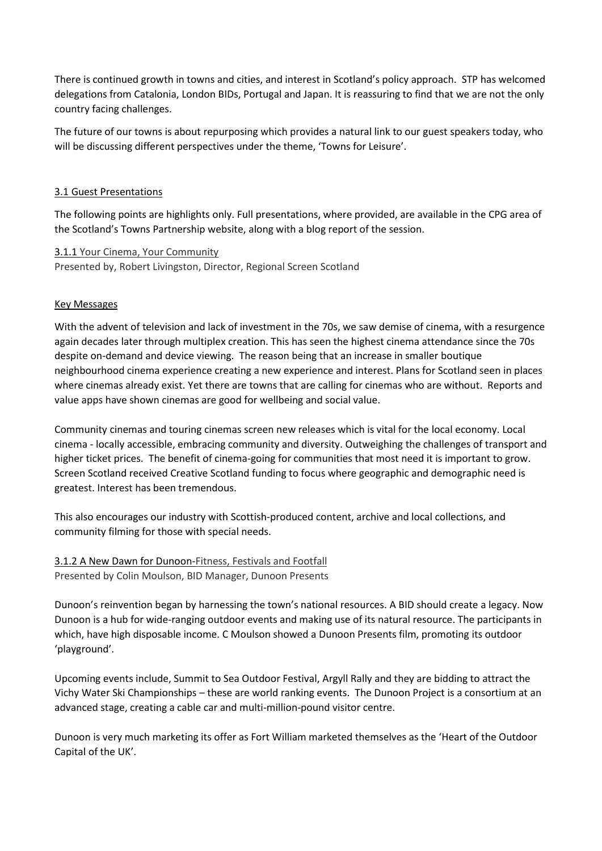There is continued growth in towns and cities, and interest in Scotland's policy approach. STP has welcomed delegations from Catalonia, London BIDs, Portugal and Japan. It is reassuring to find that we are not the only country facing challenges.

The future of our towns is about repurposing which provides a natural link to our guest speakers today, who will be discussing different perspectives under the theme, 'Towns for Leisure'.

## 3.1 Guest Presentations

The following points are highlights only. Full presentations, where provided, are available in the CPG area of the Scotland's Towns Partnership website, along with a blog report of the session.

## 3.1.1 Your Cinema, Your Community Presented by, Robert Livingston, Director, Regional Screen Scotland

## Key Messages

With the advent of television and lack of investment in the 70s, we saw demise of cinema, with a resurgence again decades later through multiplex creation. This has seen the highest cinema attendance since the 70s despite on-demand and device viewing. The reason being that an increase in smaller boutique neighbourhood cinema experience creating a new experience and interest. Plans for Scotland seen in places where cinemas already exist. Yet there are towns that are calling for cinemas who are without. Reports and value apps have shown cinemas are good for wellbeing and social value.

Community cinemas and touring cinemas screen new releases which is vital for the local economy. Local cinema - locally accessible, embracing community and diversity. Outweighing the challenges of transport and higher ticket prices. The benefit of cinema-going for communities that most need it is important to grow. Screen Scotland received Creative Scotland funding to focus where geographic and demographic need is greatest. Interest has been tremendous.

This also encourages our industry with Scottish-produced content, archive and local collections, and community filming for those with special needs.

3.1.2 A New Dawn for Dunoon-Fitness, Festivals and Footfall Presented by Colin Moulson, BID Manager, Dunoon Presents

Dunoon's reinvention began by harnessing the town's national resources. A BID should create a legacy. Now Dunoon is a hub for wide-ranging outdoor events and making use of its natural resource. The participants in which, have high disposable income. C Moulson showed a Dunoon Presents film, promoting its outdoor 'playground'.

Upcoming events include, Summit to Sea Outdoor Festival, Argyll Rally and they are bidding to attract the Vichy Water Ski Championships – these are world ranking events. The Dunoon Project is a consortium at an advanced stage, creating a cable car and multi-million-pound visitor centre.

Dunoon is very much marketing its offer as Fort William marketed themselves as the 'Heart of the Outdoor Capital of the UK'.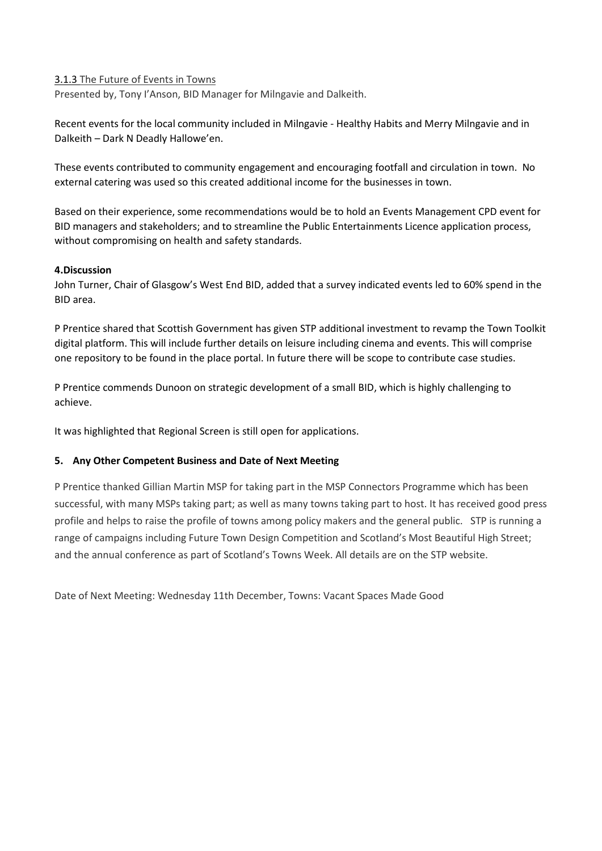## 3.1.3 The Future of Events in Towns

Presented by, Tony I'Anson, BID Manager for Milngavie and Dalkeith.

Recent events for the local community included in Milngavie - Healthy Habits and Merry Milngavie and in Dalkeith – Dark N Deadly Hallowe'en.

These events contributed to community engagement and encouraging footfall and circulation in town. No external catering was used so this created additional income for the businesses in town.

Based on their experience, some recommendations would be to hold an Events Management CPD event for BID managers and stakeholders; and to streamline the Public Entertainments Licence application process, without compromising on health and safety standards.

## **4.Discussion**

John Turner, Chair of Glasgow's West End BID, added that a survey indicated events led to 60% spend in the BID area.

P Prentice shared that Scottish Government has given STP additional investment to revamp the Town Toolkit digital platform. This will include further details on leisure including cinema and events. This will comprise one repository to be found in the place portal. In future there will be scope to contribute case studies.

P Prentice commends Dunoon on strategic development of a small BID, which is highly challenging to achieve.

It was highlighted that Regional Screen is still open for applications.

## **5. Any Other Competent Business and Date of Next Meeting**

P Prentice thanked Gillian Martin MSP for taking part in the MSP Connectors Programme which has been successful, with many MSPs taking part; as well as many towns taking part to host. It has received good press profile and helps to raise the profile of towns among policy makers and the general public. STP is running a range of campaigns including Future Town Design Competition and Scotland's Most Beautiful High Street; and the annual conference as part of Scotland's Towns Week. All details are on the STP website.

Date of Next Meeting: Wednesday 11th December, Towns: Vacant Spaces Made Good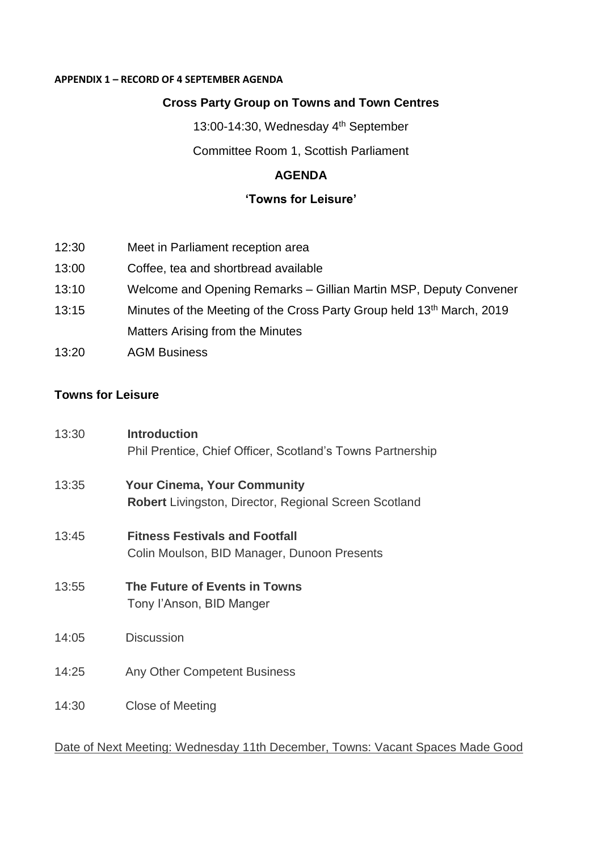## **APPENDIX 1 – RECORD OF 4 SEPTEMBER AGENDA**

# **Cross Party Group on Towns and Town Centres**

13:00-14:30, Wednesday 4<sup>th</sup> September

Committee Room 1, Scottish Parliament

# **AGENDA**

# **'Towns for Leisure'**

- 12:30 Meet in Parliament reception area
- 13:00 Coffee, tea and shortbread available
- 13:10 Welcome and Opening Remarks Gillian Martin MSP, Deputy Convener
- 13:15 Minutes of the Meeting of the Cross Party Group held 13<sup>th</sup> March, 2019 Matters Arising from the Minutes
- 13:20 AGM Business

# **Towns for Leisure**

| 13:30 | <b>Introduction</b><br>Phil Prentice, Chief Officer, Scotland's Towns Partnership                  |
|-------|----------------------------------------------------------------------------------------------------|
| 13:35 | <b>Your Cinema, Your Community</b><br><b>Robert</b> Livingston, Director, Regional Screen Scotland |
| 13:45 | <b>Fitness Festivals and Footfall</b><br>Colin Moulson, BID Manager, Dunoon Presents               |
| 13:55 | The Future of Events in Towns<br>Tony l'Anson, BID Manger                                          |
| 14:05 | <b>Discussion</b>                                                                                  |
| 14:25 | Any Other Competent Business                                                                       |
| 14:30 | Close of Meeting                                                                                   |

## Date of Next Meeting: Wednesday 11th December, Towns: Vacant Spaces Made Good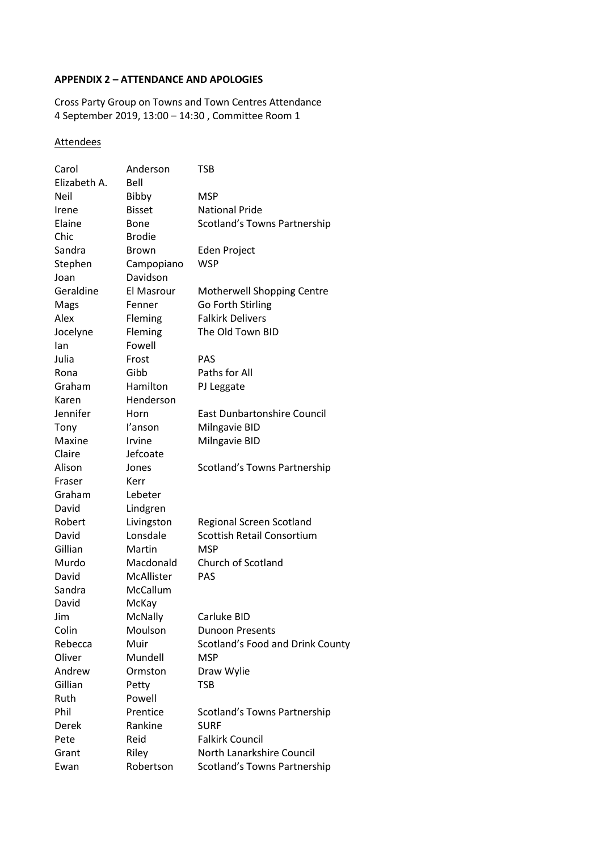### **APPENDIX 2 – ATTENDANCE AND APOLOGIES**

Cross Party Group on Towns and Town Centres Attendance 4 September 2019, 13:00 – 14:30 , Committee Room 1

## **Attendees**

| Carol<br>Elizabeth A. | Anderson<br>Bell       | <b>TSB</b>                         |
|-----------------------|------------------------|------------------------------------|
| <b>Neil</b>           |                        | MSP                                |
| Irene                 | Bibby<br><b>Bisset</b> | <b>National Pride</b>              |
| Elaine                |                        |                                    |
| Chic                  | Bone<br><b>Brodie</b>  | Scotland's Towns Partnership       |
|                       |                        |                                    |
| Sandra                | Brown                  | Eden Project                       |
| Stephen               | Campopiano             | WSP                                |
| Joan                  | Davidson               |                                    |
| Geraldine             | El Masrour             | Motherwell Shopping Centre         |
| Mags                  | Fenner                 | Go Forth Stirling                  |
| Alex                  | Fleming                | <b>Falkirk Delivers</b>            |
| Jocelyne              | Fleming                | The Old Town BID                   |
| lan                   | Fowell                 |                                    |
| Julia                 | Frost                  | PAS                                |
| Rona                  | Gibb                   | Paths for All                      |
| Graham                | Hamilton               | PJ Leggate                         |
| Karen                 | Henderson              |                                    |
| Jennifer              | Horn                   | <b>East Dunbartonshire Council</b> |
| Tony                  | l'anson                | Milngavie BID                      |
| Maxine                | Irvine                 | Milngavie BID                      |
| Claire                | Jefcoate               |                                    |
| Alison                | Jones                  | Scotland's Towns Partnership       |
| Fraser                | Kerr                   |                                    |
| Graham                | Lebeter                |                                    |
| David                 | Lindgren               |                                    |
| Robert                | Livingston             | <b>Regional Screen Scotland</b>    |
| David                 | Lonsdale               | <b>Scottish Retail Consortium</b>  |
| Gillian               | Martin                 | MSP                                |
| Murdo                 | Macdonald              | Church of Scotland                 |
| David                 | McAllister             | <b>PAS</b>                         |
| Sandra                | McCallum               |                                    |
| David                 | McKay                  |                                    |
| Jim                   | McNally                | Carluke BID                        |
| Colin                 | Moulson                | <b>Dunoon Presents</b>             |
| Rebecca               | Muir                   | Scotland's Food and Drink County   |
| Oliver                | Mundell                | <b>MSP</b>                         |
| Andrew                | Ormston                | Draw Wylie                         |
| Gillian               | Petty                  | <b>TSB</b>                         |
| Ruth                  | Powell                 |                                    |
| Phil                  | Prentice               | Scotland's Towns Partnership       |
| Derek                 | Rankine                | <b>SURF</b>                        |
| Pete                  | Reid                   | <b>Falkirk Council</b>             |
| Grant                 | Riley                  | North Lanarkshire Council          |
|                       |                        |                                    |
| Ewan                  | Robertson              | Scotland's Towns Partnership       |